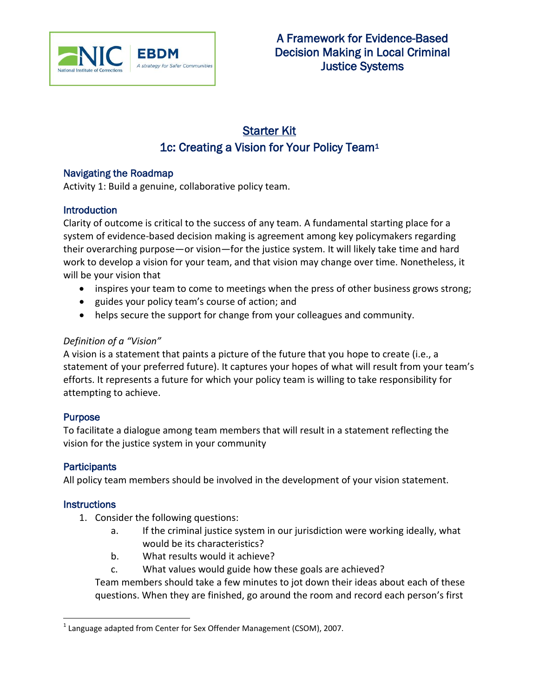

# Starter Kit 1c: Creating a Vision for Your Policy Team<sup>1</sup>

### Navigating the Roadmap

Activity 1: Build a genuine, collaborative policy team.

### **Introduction**

Clarity of outcome is critical to the success of any team. A fundamental starting place for a system of evidence-based decision making is agreement among key policymakers regarding their overarching purpose—or vision—for the justice system. It will likely take time and hard work to develop a vision for your team, and that vision may change over time. Nonetheless, it will be your vision that

- inspires your team to come to meetings when the press of other business grows strong;
- guides your policy team's course of action; and
- helps secure the support for change from your colleagues and community.

### *Definition of a "Vision"*

A vision is a statement that paints a picture of the future that you hope to create (i.e., a statement of your preferred future). It captures your hopes of what will result from your team's efforts. It represents a future for which your policy team is willing to take responsibility for attempting to achieve.

# **Purpose**

To facilitate a dialogue among team members that will result in a statement reflecting the vision for the justice system in your community

# **Participants**

All policy team members should be involved in the development of your vision statement.

# **Instructions**

- 1. Consider the following questions:
	- a. If the criminal justice system in our jurisdiction were working ideally, what would be its characteristics?
	- b. What results would it achieve?
	- c. What values would guide how these goals are achieved?

Team members should take a few minutes to jot down their ideas about each of these questions. When they are finished, go around the room and record each person's first

 $\overline{\phantom{a}}$  $^1$  Language adapted from Center for Sex Offender Management (CSOM), 2007.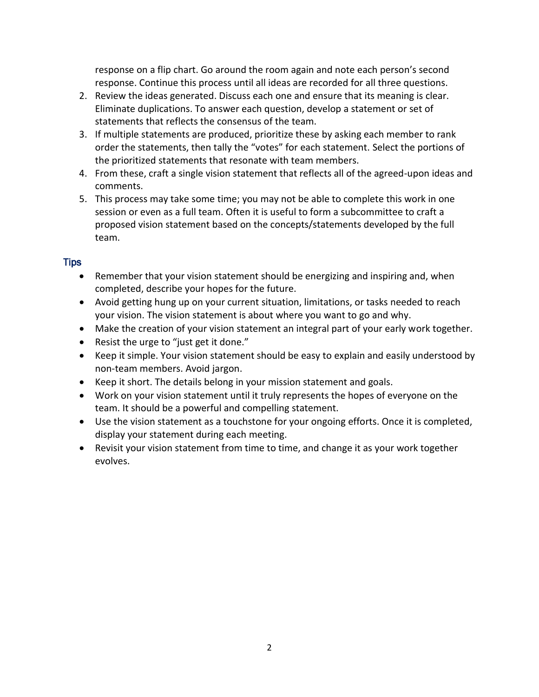response on a flip chart. Go around the room again and note each person's second response. Continue this process until all ideas are recorded for all three questions.

- 2. Review the ideas generated. Discuss each one and ensure that its meaning is clear. Eliminate duplications. To answer each question, develop a statement or set of statements that reflects the consensus of the team.
- 3. If multiple statements are produced, prioritize these by asking each member to rank order the statements, then tally the "votes" for each statement. Select the portions of the prioritized statements that resonate with team members.
- 4. From these, craft a single vision statement that reflects all of the agreed-upon ideas and comments.
- 5. This process may take some time; you may not be able to complete this work in one session or even as a full team. Often it is useful to form a subcommittee to craft a proposed vision statement based on the concepts/statements developed by the full team.

# Tips

- Remember that your vision statement should be energizing and inspiring and, when completed, describe your hopes for the future.
- Avoid getting hung up on your current situation, limitations, or tasks needed to reach your vision. The vision statement is about where you want to go and why.
- Make the creation of your vision statement an integral part of your early work together.
- Resist the urge to "just get it done."
- Keep it simple. Your vision statement should be easy to explain and easily understood by non-team members. Avoid jargon.
- Keep it short. The details belong in your mission statement and goals.
- Work on your vision statement until it truly represents the hopes of everyone on the team. It should be a powerful and compelling statement.
- Use the vision statement as a touchstone for your ongoing efforts. Once it is completed, display your statement during each meeting.
- Revisit your vision statement from time to time, and change it as your work together evolves.